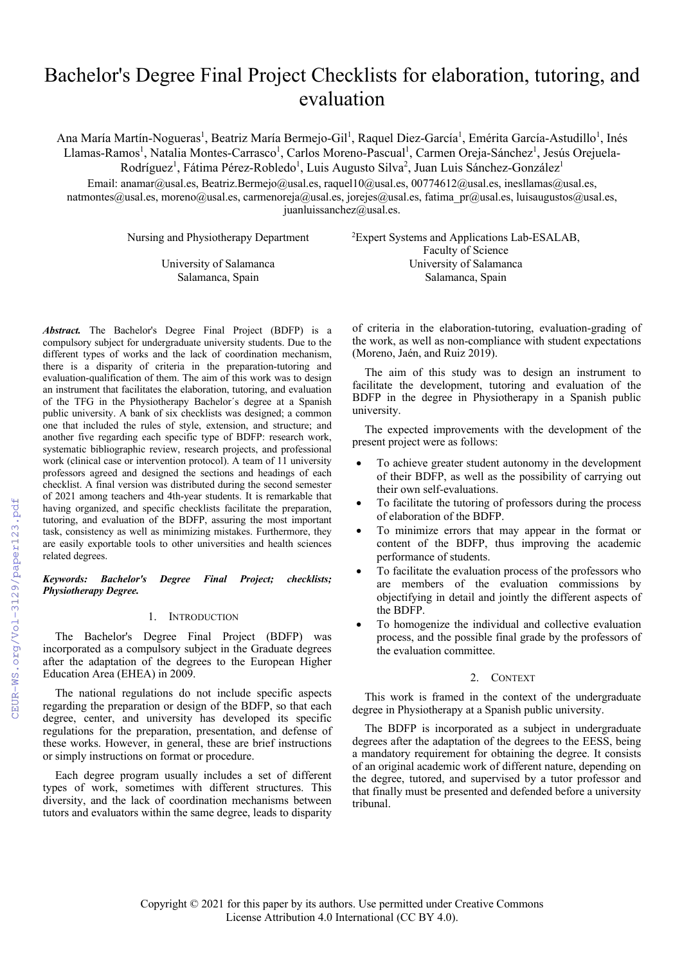# Bachelor's Degree Final Project Checklists for elaboration, tutoring, and evaluation

Ana María Martín-Nogueras<sup>1</sup>, Beatriz María Bermejo-Gil<sup>1</sup>, Raquel Diez-García<sup>1</sup>, Emérita García-Astudillo<sup>1</sup>, Inés Llamas-Ramos<sup>1</sup>, Natalia Montes-Carrasco<sup>1</sup>, Carlos Moreno-Pascual<sup>1</sup>, Carmen Oreja-Sánchez<sup>1</sup>, Jesús Orejuela-

Rodríguez<sup>1</sup>, Fátima Pérez-Robledo<sup>1</sup>, Luis Augusto Silva<sup>2</sup>, Juan Luis Sánchez-González<sup>1</sup>

Email: anamar@usal.es, Beatriz.Bermejo@usal.es, raquel10@usal.es, 00774612@usal.es, inesllamas@usal.es, natmontes@usal.es, moreno@usal.es, carmenoreja@usal.es, jorejes@usal.es, fatima\_pr@usal.es, luisaugustos@usal.es, juanluissanchez@usal.es.

Nursing and Physiotherapy Department

Expert Systems and Applications Lab-ESALAB, Faculty of Science University of Salamanca University of Salamanca Salamanca, Spain Salamanca, Spain

*Abstract.* The Bachelor's Degree Final Project (BDFP) is a compulsory subject for undergraduate university students. Due to the different types of works and the lack of coordination mechanism, there is a disparity of criteria in the preparation-tutoring and evaluation-qualification of them. The aim of this work was to design an instrument that facilitates the elaboration, tutoring, and evaluation of the TFG in the Physiotherapy Bachelor´s degree at a Spanish public university. A bank of six checklists was designed; a common one that included the rules of style, extension, and structure; and another five regarding each specific type of BDFP: research work, systematic bibliographic review, research projects, and professional work (clinical case or intervention protocol). A team of 11 university professors agreed and designed the sections and headings of each checklist. A final version was distributed during the second semester of 2021 among teachers and 4th-year students. It is remarkable that having organized, and specific checklists facilitate the preparation, tutoring, and evaluation of the BDFP, assuring the most important task, consistency as well as minimizing mistakes. Furthermore, they are easily exportable tools to other universities and health sciences related degrees.

*Keywords: Bachelor's Degree Final Project; checklists; Physiotherapy Degree.*

# 1. INTRODUCTION

The Bachelor's Degree Final Project (BDFP) was incorporated as a compulsory subject in the Graduate degrees after the adaptation of the degrees to the European Higher Education Area (EHEA) in 2009.

The national regulations do not include specific aspects regarding the preparation or design of the BDFP, so that each degree, center, and university has developed its specific regulations for the preparation, presentation, and defense of these works. However, in general, these are brief instructions or simply instructions on format or procedure.

Each degree program usually includes a set of different types of work, sometimes with different structures. This diversity, and the lack of coordination mechanisms between tutors and evaluators within the same degree, leads to disparity of criteria in the elaboration-tutoring, evaluation-grading of the work, as well as non-compliance with student expectations (Moreno, Jaén, and Ruiz 2019).

The aim of this study was to design an instrument to facilitate the development, tutoring and evaluation of the BDFP in the degree in Physiotherapy in a Spanish public university.

The expected improvements with the development of the present project were as follows:

- To achieve greater student autonomy in the development of their BDFP, as well as the possibility of carrying out their own self-evaluations.
- To facilitate the tutoring of professors during the process of elaboration of the BDFP.
- To minimize errors that may appear in the format or content of the BDFP, thus improving the academic performance of students.
- To facilitate the evaluation process of the professors who are members of the evaluation commissions by objectifying in detail and jointly the different aspects of the BDFP.
- To homogenize the individual and collective evaluation process, and the possible final grade by the professors of the evaluation committee.

## 2. CONTEXT

This work is framed in the context of the undergraduate degree in Physiotherapy at a Spanish public university.

The BDFP is incorporated as a subject in undergraduate degrees after the adaptation of the degrees to the EESS, being a mandatory requirement for obtaining the degree. It consists of an original academic work of different nature, depending on the degree, tutored, and supervised by a tutor professor and that finally must be presented and defended before a university tribunal.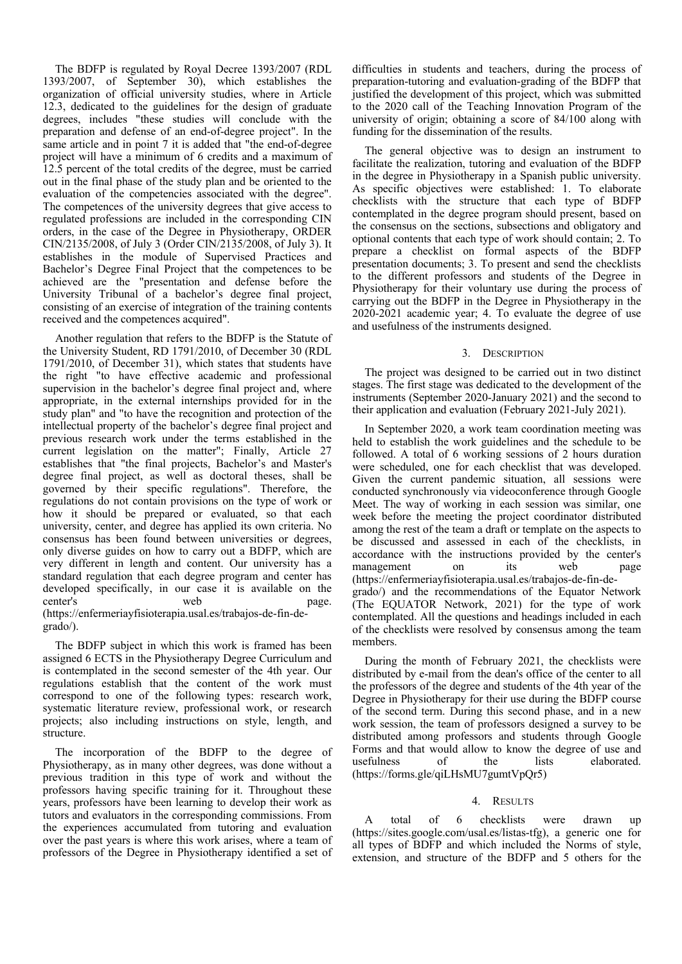The BDFP is regulated by Royal Decree 1393/2007 (RDL 1393/2007, of September 30), which establishes the organization of official university studies, where in Article 12.3, dedicated to the guidelines for the design of graduate degrees, includes "these studies will conclude with the preparation and defense of an end-of-degree project". In the same article and in point 7 it is added that "the end-of-degree project will have a minimum of 6 credits and a maximum of 12.5 percent of the total credits of the degree, must be carried out in the final phase of the study plan and be oriented to the evaluation of the competencies associated with the degree". The competences of the university degrees that give access to regulated professions are included in the corresponding CIN orders, in the case of the Degree in Physiotherapy, ORDER CIN/2135/2008, of July 3 (Order CIN/2135/2008, of July 3). It establishes in the module of Supervised Practices and Bachelor's Degree Final Project that the competences to be achieved are the "presentation and defense before the University Tribunal of a bachelor's degree final project, consisting of an exercise of integration of the training contents received and the competences acquired".

Another regulation that refers to the BDFP is the Statute of the University Student, RD 1791/2010, of December 30 (RDL 1791/2010, of December 31), which states that students have the right "to have effective academic and professional supervision in the bachelor's degree final project and, where appropriate, in the external internships provided for in the study plan" and "to have the recognition and protection of the intellectual property of the bachelor's degree final project and previous research work under the terms established in the current legislation on the matter"; Finally, Article 27 establishes that "the final projects, Bachelor's and Master's degree final project, as well as doctoral theses, shall be governed by their specific regulations". Therefore, the regulations do not contain provisions on the type of work or how it should be prepared or evaluated, so that each university, center, and degree has applied its own criteria. No consensus has been found between universities or degrees, only diverse guides on how to carry out a BDFP, which are very different in length and content. Our university has a standard regulation that each degree program and center has developed specifically, in our case it is available on the center's web page. (https://enfermeriayfisioterapia.usal.es/trabajos-de-fin-degrado/).

The BDFP subject in which this work is framed has been assigned 6 ECTS in the Physiotherapy Degree Curriculum and is contemplated in the second semester of the 4th year. Our regulations establish that the content of the work must correspond to one of the following types: research work, systematic literature review, professional work, or research projects; also including instructions on style, length, and structure.

The incorporation of the BDFP to the degree of Physiotherapy, as in many other degrees, was done without a previous tradition in this type of work and without the professors having specific training for it. Throughout these years, professors have been learning to develop their work as tutors and evaluators in the corresponding commissions. From the experiences accumulated from tutoring and evaluation over the past years is where this work arises, where a team of professors of the Degree in Physiotherapy identified a set of

difficulties in students and teachers, during the process of preparation-tutoring and evaluation-grading of the BDFP that justified the development of this project, which was submitted to the 2020 call of the Teaching Innovation Program of the university of origin; obtaining a score of 84/100 along with funding for the dissemination of the results.

The general objective was to design an instrument to facilitate the realization, tutoring and evaluation of the BDFP in the degree in Physiotherapy in a Spanish public university. As specific objectives were established: 1. To elaborate checklists with the structure that each type of BDFP contemplated in the degree program should present, based on the consensus on the sections, subsections and obligatory and optional contents that each type of work should contain; 2. To prepare a checklist on formal aspects of the BDFP presentation documents; 3. To present and send the checklists to the different professors and students of the Degree in Physiotherapy for their voluntary use during the process of carrying out the BDFP in the Degree in Physiotherapy in the 2020-2021 academic year; 4. To evaluate the degree of use and usefulness of the instruments designed.

## 3. DESCRIPTION

The project was designed to be carried out in two distinct stages. The first stage was dedicated to the development of the instruments (September 2020-January 2021) and the second to their application and evaluation (February 2021-July 2021).

In September 2020, a work team coordination meeting was held to establish the work guidelines and the schedule to be followed. A total of 6 working sessions of 2 hours duration were scheduled, one for each checklist that was developed. Given the current pandemic situation, all sessions were conducted synchronously via videoconference through Google Meet. The way of working in each session was similar, one week before the meeting the project coordinator distributed among the rest of the team a draft or template on the aspects to be discussed and assessed in each of the checklists, in accordance with the instructions provided by the center's management on its web page (https://enfermeriayfisioterapia.usal.es/trabajos-de-fin-degrado/) and the recommendations of the Equator Network (The EQUATOR Network, 2021) for the type of work contemplated. All the questions and headings included in each of the checklists were resolved by consensus among the team members.

During the month of February 2021, the checklists were distributed by e-mail from the dean's office of the center to all the professors of the degree and students of the 4th year of the Degree in Physiotherapy for their use during the BDFP course of the second term. During this second phase, and in a new work session, the team of professors designed a survey to be distributed among professors and students through Google Forms and that would allow to know the degree of use and usefulness of the lists elaborated. (https://forms.gle/qiLHsMU7gumtVpQr5)

## 4. RESULTS

A total of 6 checklists were drawn up (https://sites.google.com/usal.es/listas-tfg), a generic one for all types of BDFP and which included the Norms of style, extension, and structure of the BDFP and 5 others for the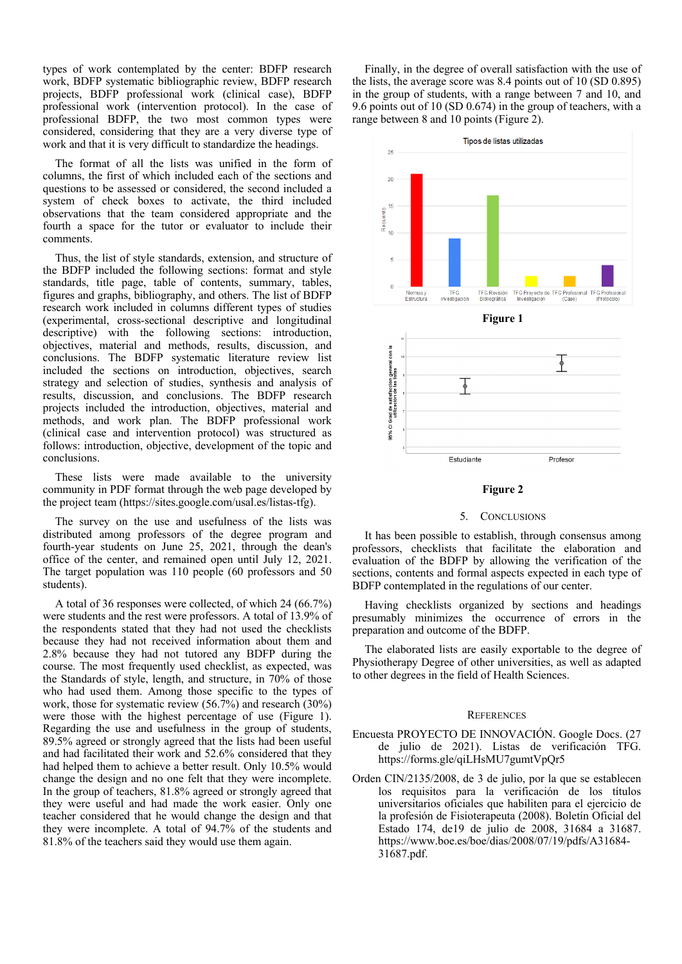types of work contemplated by the center: BDFP research work, BDFP systematic bibliographic review, BDFP research projects, BDFP professional work (clinical case), BDFP professional work (intervention protocol). In the case of professional BDFP, the two most common types were considered, considering that they are a very diverse type of work and that it is very difficult to standardize the headings.

The format of all the lists was unified in the form of columns, the first of which included each of the sections and questions to be assessed or considered, the second included a system of check boxes to activate, the third included observations that the team considered appropriate and the fourth a space for the tutor or evaluator to include their comments.

Thus, the list of style standards, extension, and structure of the BDFP included the following sections: format and style standards, title page, table of contents, summary, tables, figures and graphs, bibliography, and others. The list of BDFP research work included in columns different types of studies (experimental, cross-sectional descriptive and longitudinal descriptive) with the following sections: introduction, objectives, material and methods, results, discussion, and conclusions. The BDFP systematic literature review list included the sections on introduction, objectives, search strategy and selection of studies, synthesis and analysis of results, discussion, and conclusions. The BDFP research projects included the introduction, objectives, material and methods, and work plan. The BDFP professional work (clinical case and intervention protocol) was structured as follows: introduction, objective, development of the topic and conclusions.

These lists were made available to the university community in PDF format through the web page developed by the project team (https://sites.google.com/usal.es/listas-tfg).

The survey on the use and usefulness of the lists was distributed among professors of the degree program and fourth-year students on June 25, 2021, through the dean's office of the center, and remained open until July 12, 2021. The target population was 110 people (60 professors and 50 students).

A total of 36 responses were collected, of which 24 (66.7%) were students and the rest were professors. A total of 13.9% of the respondents stated that they had not used the checklists because they had not received information about them and 2.8% because they had not tutored any BDFP during the course. The most frequently used checklist, as expected, was the Standards of style, length, and structure, in 70% of those who had used them. Among those specific to the types of work, those for systematic review (56.7%) and research (30%) were those with the highest percentage of use (Figure 1). Regarding the use and usefulness in the group of students, 89.5% agreed or strongly agreed that the lists had been useful and had facilitated their work and 52.6% considered that they had helped them to achieve a better result. Only 10.5% would change the design and no one felt that they were incomplete. In the group of teachers, 81.8% agreed or strongly agreed that they were useful and had made the work easier. Only one teacher considered that he would change the design and that they were incomplete. A total of 94.7% of the students and 81.8% of the teachers said they would use them again.

Finally, in the degree of overall satisfaction with the use of the lists, the average score was 8.4 points out of 10 (SD 0.895) in the group of students, with a range between 7 and 10, and 9.6 points out of 10 (SD 0.674) in the group of teachers, with a range between 8 and 10 points (Figure 2).



## **Figure 2**

#### 5. CONCLUSIONS

It has been possible to establish, through consensus among professors, checklists that facilitate the elaboration and evaluation of the BDFP by allowing the verification of the sections, contents and formal aspects expected in each type of BDFP contemplated in the regulations of our center.

Having checklists organized by sections and headings presumably minimizes the occurrence of errors in the preparation and outcome of the BDFP.

The elaborated lists are easily exportable to the degree of Physiotherapy Degree of other universities, as well as adapted to other degrees in the field of Health Sciences.

#### **REFERENCES**

- Encuesta PROYECTO DE INNOVACIÓN. Google Docs. (27 de julio de 2021). Listas de verificación TFG. https://forms.gle/qiLHsMU7gumtVpQr5
- Orden CIN/2135/2008, de 3 de julio, por la que se establecen los requisitos para la verificación de los títulos universitarios oficiales que habiliten para el ejercicio de la profesión de Fisioterapeuta (2008). Boletín Oficial del Estado 174, de19 de julio de 2008, 31684 a 31687. https://www.boe.es/boe/dias/2008/07/19/pdfs/A31684- 31687.pdf.